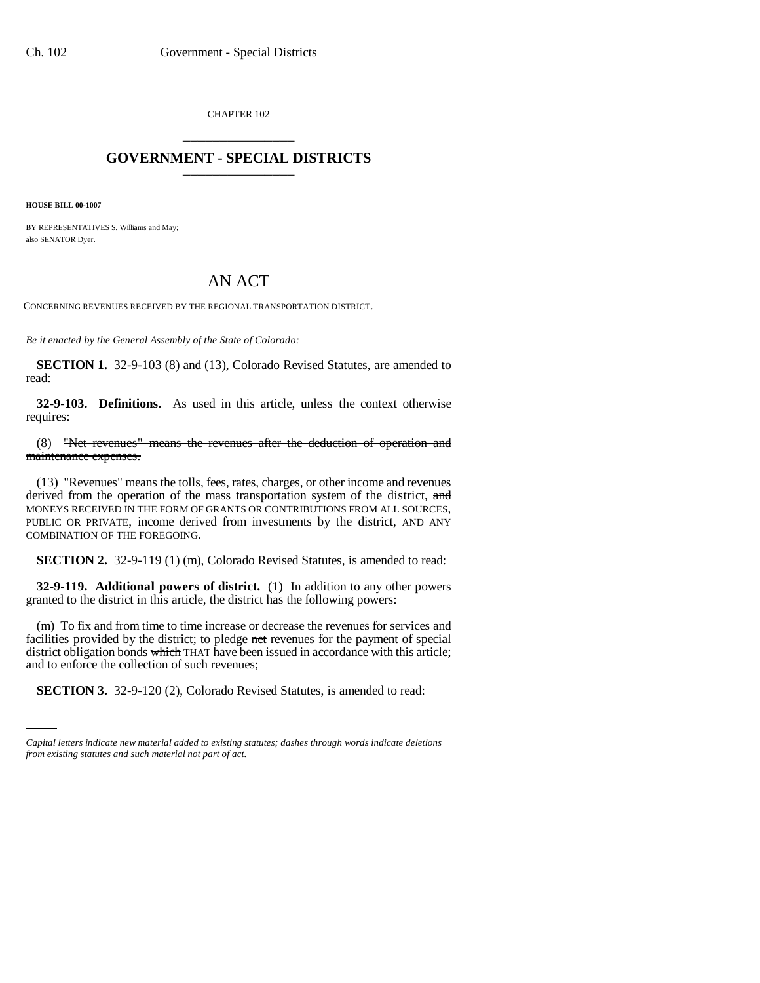CHAPTER 102 \_\_\_\_\_\_\_\_\_\_\_\_\_\_\_

## **GOVERNMENT - SPECIAL DISTRICTS** \_\_\_\_\_\_\_\_\_\_\_\_\_\_\_

**HOUSE BILL 00-1007** 

BY REPRESENTATIVES S. Williams and May; also SENATOR Dyer.

## AN ACT

CONCERNING REVENUES RECEIVED BY THE REGIONAL TRANSPORTATION DISTRICT.

*Be it enacted by the General Assembly of the State of Colorado:*

**SECTION 1.** 32-9-103 (8) and (13), Colorado Revised Statutes, are amended to read:

**32-9-103. Definitions.** As used in this article, unless the context otherwise requires:

(8) "Net revenues" means the revenues after the deduction of operation and maintenance expenses.

(13) "Revenues" means the tolls, fees, rates, charges, or other income and revenues derived from the operation of the mass transportation system of the district, and MONEYS RECEIVED IN THE FORM OF GRANTS OR CONTRIBUTIONS FROM ALL SOURCES, PUBLIC OR PRIVATE, income derived from investments by the district, AND ANY COMBINATION OF THE FOREGOING.

**SECTION 2.** 32-9-119 (1) (m), Colorado Revised Statutes, is amended to read:

**32-9-119. Additional powers of district.** (1) In addition to any other powers granted to the district in this article, the district has the following powers:

and to enforce the collection of such revenues; (m) To fix and from time to time increase or decrease the revenues for services and facilities provided by the district; to pledge net revenues for the payment of special district obligation bonds which THAT have been issued in accordance with this article;

**SECTION 3.** 32-9-120 (2), Colorado Revised Statutes, is amended to read:

*Capital letters indicate new material added to existing statutes; dashes through words indicate deletions from existing statutes and such material not part of act.*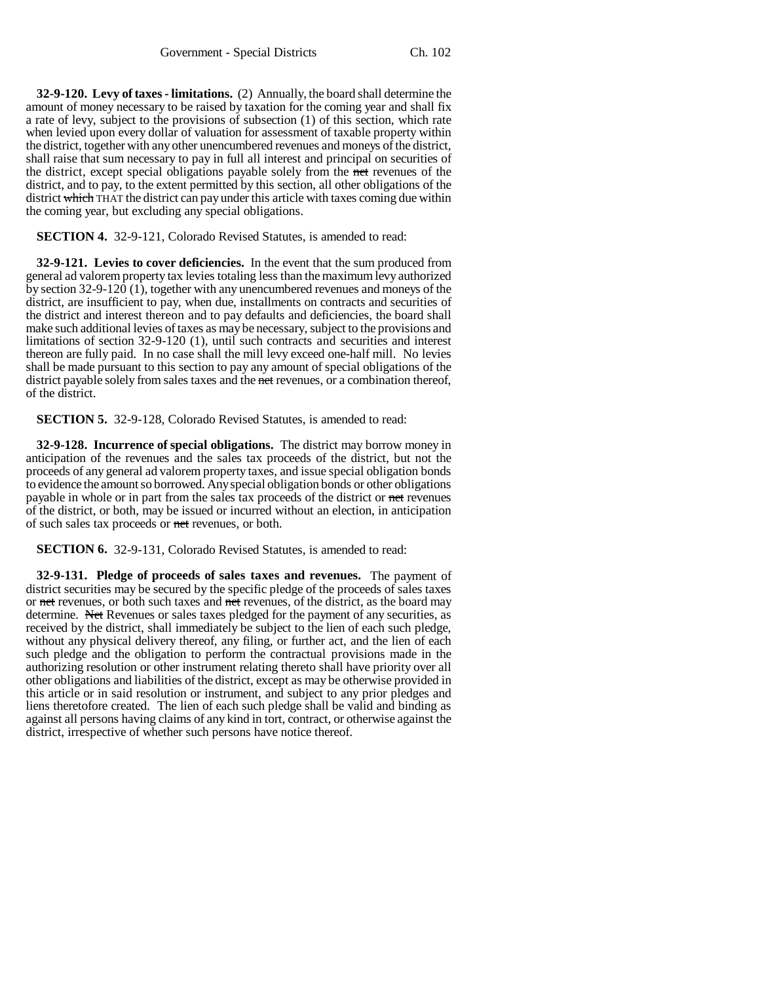**32-9-120. Levy of taxes - limitations.** (2) Annually, the board shall determine the amount of money necessary to be raised by taxation for the coming year and shall fix a rate of levy, subject to the provisions of subsection (1) of this section, which rate when levied upon every dollar of valuation for assessment of taxable property within the district, together with any other unencumbered revenues and moneys of the district, shall raise that sum necessary to pay in full all interest and principal on securities of the district, except special obligations payable solely from the net revenues of the district, and to pay, to the extent permitted by this section, all other obligations of the district which THAT the district can pay under this article with taxes coming due within the coming year, but excluding any special obligations.

**SECTION 4.** 32-9-121, Colorado Revised Statutes, is amended to read:

**32-9-121. Levies to cover deficiencies.** In the event that the sum produced from general ad valorem property tax levies totaling less than the maximum levy authorized by section 32-9-120 (1), together with any unencumbered revenues and moneys of the district, are insufficient to pay, when due, installments on contracts and securities of the district and interest thereon and to pay defaults and deficiencies, the board shall make such additional levies of taxes as may be necessary, subject to the provisions and limitations of section 32-9-120 (1), until such contracts and securities and interest thereon are fully paid. In no case shall the mill levy exceed one-half mill. No levies shall be made pursuant to this section to pay any amount of special obligations of the district payable solely from sales taxes and the net revenues, or a combination thereof, of the district.

**SECTION 5.** 32-9-128, Colorado Revised Statutes, is amended to read:

**32-9-128. Incurrence of special obligations.** The district may borrow money in anticipation of the revenues and the sales tax proceeds of the district, but not the proceeds of any general ad valorem property taxes, and issue special obligation bonds to evidence the amount so borrowed. Any special obligation bonds or other obligations payable in whole or in part from the sales tax proceeds of the district or net revenues of the district, or both, may be issued or incurred without an election, in anticipation of such sales tax proceeds or net revenues, or both.

**SECTION 6.** 32-9-131, Colorado Revised Statutes, is amended to read:

**32-9-131. Pledge of proceeds of sales taxes and revenues.** The payment of district securities may be secured by the specific pledge of the proceeds of sales taxes or net revenues, or both such taxes and net revenues, of the district, as the board may determine. Net Revenues or sales taxes pledged for the payment of any securities, as received by the district, shall immediately be subject to the lien of each such pledge, without any physical delivery thereof, any filing, or further act, and the lien of each such pledge and the obligation to perform the contractual provisions made in the authorizing resolution or other instrument relating thereto shall have priority over all other obligations and liabilities of the district, except as may be otherwise provided in this article or in said resolution or instrument, and subject to any prior pledges and liens theretofore created. The lien of each such pledge shall be valid and binding as against all persons having claims of any kind in tort, contract, or otherwise against the district, irrespective of whether such persons have notice thereof.